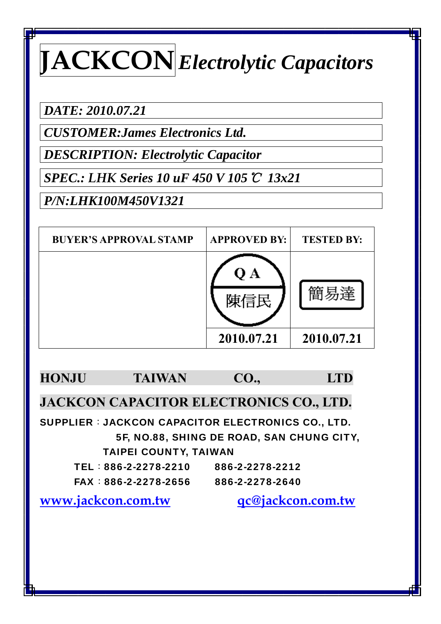*DATE: 2010.07.21* 

*CUSTOMER:James Electronics Ltd.* 

*DESCRIPTION: Electrolytic Capacitor* 

*SPEC.: LHK Series 10 uF 450 V 105*℃ *13x21* 

*P/N:LHK100M450V1321* 

| <b>BUYER'S APPROVAL STAMP</b> | <b>APPROVED BY:</b> | <b>TESTED BY:</b> |
|-------------------------------|---------------------|-------------------|
|                               |                     |                   |
|                               | 2010.07.21          | 2010.07.21        |



**JACKCON CAPACITOR ELECTRONICS CO., LTD.** 

SUPPLIER: JACKCON CAPACITOR ELECTRONICS CO., LTD. 5F, NO.88, SHING DE ROAD, SAN CHUNG CITY, TAIPEI COUNTY, TAIWAN

| TEL:886-2-2278-2210 | 886-2-2278-2212 |
|---------------------|-----------------|
| FAX:886-2-2278-2656 | 886-2-2278-2640 |

**www.jackcon.com.tw qc@jackcon.com.tw**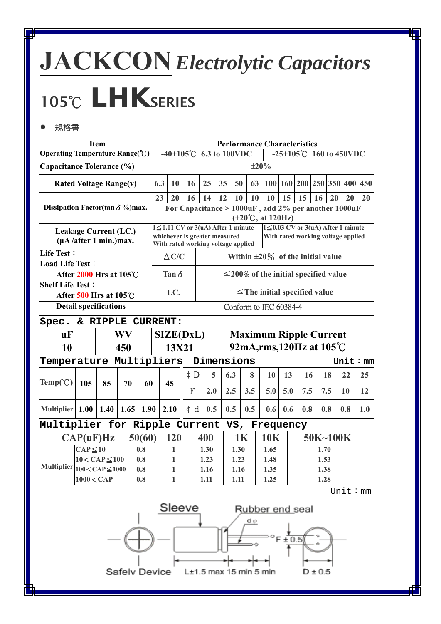# **JACKCON***Electrolytic Capacitors* **<sup>105</sup>**℃ *LHK***SERIES**

### ● 規格書

| <b>Item</b><br>Operating Temperature Range(°C)   |                                                               |      |     |                                                            |     | <b>Performance Characteristics</b><br>-40+105°C 6.3 to 100VDC<br>-25+105 $^{\circ}$ C 160 to 450VDC                                      |          |      |                                                                     |           |            |                                                     |             |     |      |          |                                    |               |
|--------------------------------------------------|---------------------------------------------------------------|------|-----|------------------------------------------------------------|-----|------------------------------------------------------------------------------------------------------------------------------------------|----------|------|---------------------------------------------------------------------|-----------|------------|-----------------------------------------------------|-------------|-----|------|----------|------------------------------------|---------------|
|                                                  |                                                               |      |     |                                                            |     |                                                                                                                                          |          |      |                                                                     |           |            |                                                     |             |     |      |          |                                    |               |
| Capacitance Tolerance (%)                        |                                                               |      |     |                                                            |     | ±20%                                                                                                                                     |          |      |                                                                     |           |            |                                                     |             |     |      |          |                                    |               |
| <b>Rated Voltage Range(v)</b>                    |                                                               |      |     |                                                            | 6.3 | 10                                                                                                                                       | 16       | 25   | 35                                                                  | 50        | 63         |                                                     |             |     |      |          | 100 160 200 250 350 400 450        |               |
|                                                  |                                                               |      |     |                                                            | 23  | 20                                                                                                                                       | 16       | 14   | 12                                                                  | 10        | 10         | 10                                                  | 15          | 15  | 16   | 20       | 20                                 | 20            |
| Dissipation Factor(tan $\delta$ %) max.          |                                                               |      |     |                                                            |     |                                                                                                                                          |          |      |                                                                     |           |            | For Capacitance > 1000uF, add 2% per another 1000uF |             |     |      |          |                                    |               |
|                                                  |                                                               |      |     |                                                            |     | $(+20^{\circ}\text{C}, \text{at } 120\text{Hz})$<br>$I \leq 0.01$ CV or 3(uA) After 1 minute<br>$I \leq 0.03$ CV or 3(uA) After 1 minute |          |      |                                                                     |           |            |                                                     |             |     |      |          |                                    |               |
|                                                  | Leakage Current (LC.)<br>$(\mu A / \text{after 1 min.})$ max. |      |     |                                                            |     |                                                                                                                                          |          |      | whichever is greater measured<br>With rated working voltage applied |           |            |                                                     |             |     |      |          | With rated working voltage applied |               |
| Life Test:                                       |                                                               |      |     |                                                            |     | $\Delta$ C/C<br>Within $\pm 20\%$ of the initial value                                                                                   |          |      |                                                                     |           |            |                                                     |             |     |      |          |                                    |               |
| <b>Load Life Test:</b><br>After 2000 Hrs at 105℃ |                                                               |      |     | Tan $\delta$<br>$\leq$ 200% of the initial specified value |     |                                                                                                                                          |          |      |                                                                     |           |            |                                                     |             |     |      |          |                                    |               |
| <b>Shelf Life Test:</b>                          |                                                               |      |     | LC.<br>$\leq$ The initial specified value                  |     |                                                                                                                                          |          |      |                                                                     |           |            |                                                     |             |     |      |          |                                    |               |
|                                                  | After 500 Hrs at 105°C<br><b>Detail specifications</b>        |      |     |                                                            |     |                                                                                                                                          |          |      |                                                                     |           |            | Conform to IEC 60384-4                              |             |     |      |          |                                    |               |
|                                                  |                                                               |      |     |                                                            |     |                                                                                                                                          |          |      |                                                                     |           |            |                                                     |             |     |      |          |                                    |               |
| & RIPPLE CURRENT:<br>Spec.                       |                                                               |      |     |                                                            |     |                                                                                                                                          |          |      |                                                                     |           |            |                                                     |             |     |      |          |                                    |               |
| <b>uF</b>                                        |                                                               |      | WV  |                                                            |     | <b>Maximum Ripple Current</b><br>SIZE(DxL)                                                                                               |          |      |                                                                     |           |            |                                                     |             |     |      |          |                                    |               |
| 10                                               |                                                               |      | 450 |                                                            |     | 92mA, rms, 120Hz at 105℃<br>13X21                                                                                                        |          |      |                                                                     |           |            |                                                     |             |     |      |          |                                    |               |
| Temperature Multipliers                          |                                                               |      |     |                                                            |     |                                                                                                                                          |          |      | Dimensions                                                          |           |            |                                                     |             |     |      |          |                                    | Unit $: \,mm$ |
|                                                  |                                                               |      |     |                                                            | 45  |                                                                                                                                          | $\phi$ D |      | 5                                                                   | 6.3       | 8          | 10                                                  | 13          | 16  |      | 18       | 22                                 | 25            |
| Temp(C)                                          | 105                                                           | 85   | 70  | 60                                                         |     |                                                                                                                                          | F        | 2.0  |                                                                     | 2.5       | 3.5        | 5.0                                                 | 5.0         | 7.5 |      | 7.5      | 10                                 | 12            |
| Multiplier 1.00                                  |                                                               | 1.40 |     | 1.65<br>1.90                                               |     | 2.10                                                                                                                                     | ¢d       | 0.5  |                                                                     | 0.5       | 0.5        | 0.6                                                 | 0.6         | 0.8 |      | 0.8      | 0.8                                | 1.0           |
| Multiplier for Ripple Current                    |                                                               |      |     |                                                            |     |                                                                                                                                          |          |      |                                                                     |           |            | VS, Frequency                                       |             |     |      |          |                                    |               |
|                                                  | CAP(uF)Hz                                                     |      |     | 50(60)                                                     |     | 120                                                                                                                                      |          | 400  |                                                                     | <b>1K</b> |            | 10K                                                 |             |     |      | 50K~100K |                                    |               |
|                                                  | $CAP \leq 10$                                                 |      |     | 0.8                                                        |     | 1                                                                                                                                        |          | 1.30 |                                                                     | 1.30      |            | 1.65                                                |             |     | 1.70 |          |                                    |               |
|                                                  | $10 <$ CAP $\leq$ 100                                         |      |     | 0.8                                                        |     | $\mathbf{1}$                                                                                                                             |          | 1.23 |                                                                     | 1.23      |            | 1.48                                                |             |     | 1.53 |          |                                    |               |
| Multiplier $\boxed{100 \text{ < CAP} \leq 1000}$ |                                                               |      |     | 0.8                                                        |     | $\mathbf{1}$                                                                                                                             |          | 1.16 |                                                                     | 1.16      |            | 1.35                                                |             |     | 1.38 |          |                                    |               |
|                                                  | $1000 <$ CAP                                                  |      |     | 0.8                                                        |     | $\mathbf{1}$                                                                                                                             |          | 1.11 |                                                                     | 1.11      |            | 1.25                                                |             |     | 1.28 |          |                                    |               |
|                                                  |                                                               |      |     |                                                            |     |                                                                                                                                          |          |      |                                                                     |           |            |                                                     |             |     |      |          | Unit: mm                           |               |
| Sleeve<br>Rubber end seal                        |                                                               |      |     |                                                            |     |                                                                                                                                          |          |      |                                                                     |           |            |                                                     |             |     |      |          |                                    |               |
|                                                  |                                                               |      |     |                                                            |     |                                                                                                                                          |          |      |                                                                     |           | $d\varphi$ |                                                     |             |     |      |          |                                    |               |
|                                                  |                                                               |      |     |                                                            |     |                                                                                                                                          |          |      |                                                                     |           |            |                                                     | $F \pm 0.5$ |     |      |          |                                    |               |
|                                                  |                                                               |      |     |                                                            |     |                                                                                                                                          |          |      |                                                                     |           |            |                                                     |             |     |      |          |                                    |               |
|                                                  |                                                               |      |     |                                                            |     |                                                                                                                                          |          |      |                                                                     |           |            |                                                     |             |     |      |          |                                    |               |
|                                                  | Safelv Device<br>L±1.5 max 15 min 5 min<br>D ± 0.5            |      |     |                                                            |     |                                                                                                                                          |          |      |                                                                     |           |            |                                                     |             |     |      |          |                                    |               |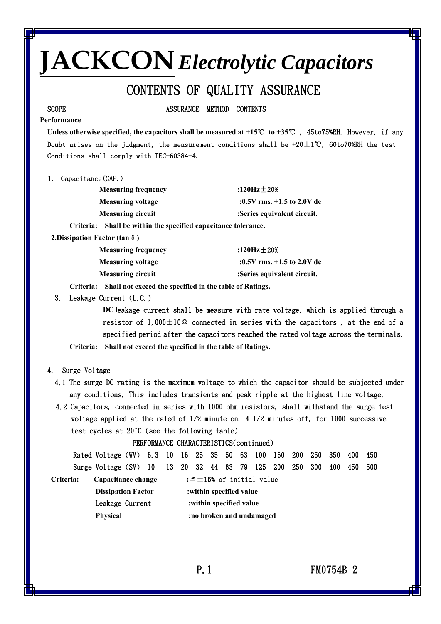## CONTENTS OF QUALITY ASSURANCE

SCOPE ASSURANCE METHOD CONTENTS

#### **Performance**

 **Unless otherwise specified, the capacitors shall be measured at +15**℃ **to +35**℃ , 45to75%RH. However, if any Doubt arises on the judgment, the measurement conditions shall be +20±1℃, 60to70%RH the test Conditions shall comply with IEC-60384-4.

1. Capacitance(CAP.)

| <b>Measuring frequency</b>                                        | :120Hz $\pm$ 20%             |
|-------------------------------------------------------------------|------------------------------|
| <b>Measuring voltage</b>                                          | :0.5V rms. $+1.5$ to 2.0V dc |
| <b>Measuring circuit</b>                                          | :Series equivalent circuit.  |
| Shall be within the specified capacitance tolerance.<br>Criteria: |                              |

 **2.Dissipation Factor (tan**δ**)** 

| <b>Measuring frequency</b> | :120Hz $\pm$ 20%             |
|----------------------------|------------------------------|
| <b>Measuring voltage</b>   | :0.5V rms. $+1.5$ to 2.0V dc |
| <b>Measuring circuit</b>   | :Series equivalent circuit.  |

 **Criteria: Shall not exceed the specified in the table of Ratings.** 

3. Leakage Current (L.C.)

 **DC l**eakage current shall be measure with rate voltage, which is applied through a resistor of 1,000 $\pm$ 10 $\Omega$  connected in series with the capacitors, at the end of a specified period after the capacitors reached the rated voltage across the terminals.

**Criteria: Shall not exceed the specified in the table of Ratings.**

- 4. Surge Voltage
	- 4.1 The surge DC rating is the maximum voltage to which the capacitor should be subjected under any conditions. This includes transients and peak ripple at the highest line voltage.
	- 4.2 Capacitors, connected in series with 1000 ohm resistors, shall withstand the surge test voltage applied at the rated of 1/2 minute on, 4 1/2 minutes off, for 1000 successive test cycles at 20°C (see the following table)

PERFORMANCE CHARACTERISTICS(continued)

|                           | Rated Voltage (WV) 6.3 10 16 25 35 50 63 100 160 200 250 |                         |  |                          |  |  |  |  |                                    |  |                                   | 350 | 400 | 450   |
|---------------------------|----------------------------------------------------------|-------------------------|--|--------------------------|--|--|--|--|------------------------------------|--|-----------------------------------|-----|-----|-------|
|                           | Surge Voltage $(SV)$ 10                                  |                         |  |                          |  |  |  |  |                                    |  | 13 20 32 44 63 79 125 200 250 300 | 400 | 450 | - 500 |
| Criteria:                 | Capacitance change                                       |                         |  |                          |  |  |  |  | : $\leq \pm 15\%$ of initial value |  |                                   |     |     |       |
| <b>Dissipation Factor</b> |                                                          |                         |  | : within specified value |  |  |  |  |                                    |  |                                   |     |     |       |
| Leakage Current           |                                                          | :within specified value |  |                          |  |  |  |  |                                    |  |                                   |     |     |       |
|                           | <b>Physical</b>                                          |                         |  |                          |  |  |  |  | :no broken and undamaged           |  |                                   |     |     |       |
|                           |                                                          |                         |  |                          |  |  |  |  |                                    |  |                                   |     |     |       |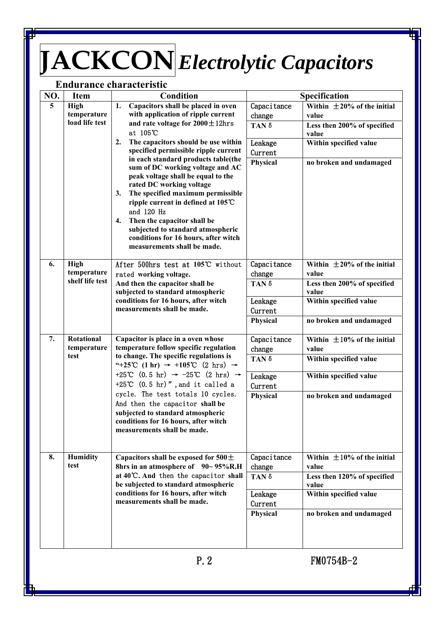### **Endurance characteristic**

| NO.                     | <b>Item</b>             | Condition                                                                                                                 |                        | Specification                        |
|-------------------------|-------------------------|---------------------------------------------------------------------------------------------------------------------------|------------------------|--------------------------------------|
| $\overline{\mathbf{5}}$ | <b>High</b>             | Capacitors shall be placed in oven<br>1.                                                                                  | Capacitance            | Within $\pm 20\%$ of the initial     |
|                         | temperature             | with application of ripple current                                                                                        | change                 | value                                |
|                         | load life test          | and rate voltage for $2000 \pm 12$ hrs                                                                                    | TAN δ                  | Less then 200% of specified          |
|                         |                         | at 105°C                                                                                                                  |                        | value                                |
|                         |                         | The capacitors should be use within<br>2.                                                                                 | Leakage                | Within specified value               |
|                         |                         | specified permissible ripple current<br>in each standard products table(the                                               | Current                |                                      |
|                         |                         | sum of DC working voltage and AC                                                                                          | Physical               | no broken and undamaged              |
|                         |                         | peak voltage shall be equal to the                                                                                        |                        |                                      |
|                         |                         | rated DC working voltage                                                                                                  |                        |                                      |
|                         |                         | The specified maximum permissible<br>3.                                                                                   |                        |                                      |
|                         |                         | ripple current in defined at 105℃<br>and 120 Hz<br>Then the capacitor shall be<br>4.<br>subjected to standard atmospheric |                        |                                      |
|                         |                         |                                                                                                                           |                        |                                      |
|                         |                         |                                                                                                                           |                        |                                      |
|                         |                         | conditions for 16 hours, after witch                                                                                      |                        |                                      |
|                         |                         | measurements shall be made.                                                                                               |                        |                                      |
| 6.                      | <b>High</b>             | After 500hrs test at 105℃ without                                                                                         | Capacitance            | Within $\pm 20\%$ of the initial     |
|                         | temperature             | rated working voltage.                                                                                                    | change                 | value                                |
|                         | shelf life test         | And then the capacitor shall be                                                                                           | TAN δ                  | Less then 200% of specified          |
|                         |                         | subjected to standard atmospheric                                                                                         |                        | value                                |
|                         |                         | conditions for 16 hours, after witch                                                                                      | Leakage                | Within specified value               |
|                         |                         | measurements shall be made.                                                                                               | Current                |                                      |
|                         |                         |                                                                                                                           | Physical               | no broken and undamaged              |
| 7.                      | <b>Rotational</b>       | Capacitor is place in a oven whose                                                                                        | Capacitance            | Within $\pm 10\%$ of the initial     |
|                         | temperature             | temperature follow specific regulation                                                                                    | change                 | value                                |
|                         | test                    | to change. The specific regulations is                                                                                    | TAN δ                  | Within specified value               |
|                         |                         | "+25°C (1 hr) $\rightarrow$ +105°C (2 hrs) $\rightarrow$                                                                  |                        |                                      |
|                         |                         | +25°C $(0.5 \text{ hr}) \rightarrow -25$ °C $(2 \text{ hrs}) \rightarrow$                                                 | Leakage                | Within specified value               |
|                         |                         | +25°C $(0.5 \text{ hr})$ ", and it called a                                                                               | Current                |                                      |
|                         |                         | cycle. The test totals 10 cycles.                                                                                         | Physical               | no broken and undamaged              |
|                         |                         | And then the capacitor shall be<br>subjected to standard atmospheric                                                      |                        |                                      |
|                         |                         | conditions for 16 hours, after witch                                                                                      |                        |                                      |
|                         |                         | measurements shall be made.                                                                                               |                        |                                      |
|                         |                         |                                                                                                                           |                        |                                      |
|                         |                         |                                                                                                                           |                        |                                      |
| 8.                      | <b>Humidity</b><br>test | Capacitors shall be exposed for $500 \pm$                                                                                 | Capacitance            | Within $\pm 10\%$ of the initial     |
|                         |                         | 8hrs in an atmosphere of 90~95%R.H<br>at 40°C. And then the capacitor shall                                               | change<br>TAN $\delta$ | value<br>Less then 120% of specified |
|                         |                         | be subjected to standard atmospheric                                                                                      |                        | value                                |
|                         |                         | conditions for 16 hours, after witch                                                                                      | Leakage                | Within specified value               |
|                         |                         | measurements shall be made.                                                                                               | Current                |                                      |
|                         |                         |                                                                                                                           | Physical               | no broken and undamaged              |
|                         |                         |                                                                                                                           |                        |                                      |
|                         |                         |                                                                                                                           |                        |                                      |
|                         |                         |                                                                                                                           |                        |                                      |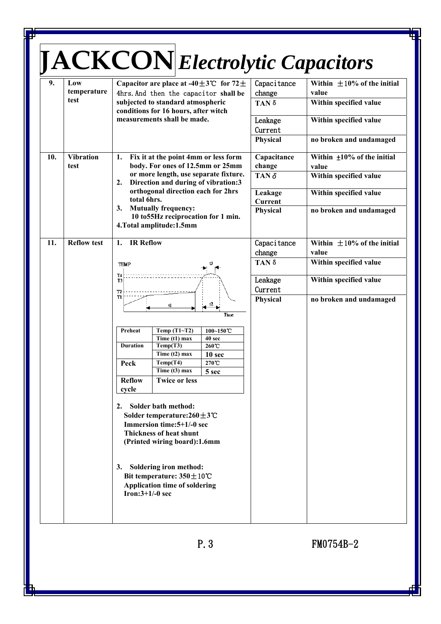| 9.                                                                                                                                              | Low<br>temperature       | Capacitor are place at -40 $\pm$ 3°C for 72 $\pm$<br>4hrs. And then the capacitor shall be                                                                                                                                                         | Capacitance<br>change          | Within $\pm 10\%$ of the initial<br>value         |  |  |  |
|-------------------------------------------------------------------------------------------------------------------------------------------------|--------------------------|----------------------------------------------------------------------------------------------------------------------------------------------------------------------------------------------------------------------------------------------------|--------------------------------|---------------------------------------------------|--|--|--|
|                                                                                                                                                 | test                     | subjected to standard atmospheric<br>conditions for 16 hours, after witch                                                                                                                                                                          | TAN δ                          | Within specified value                            |  |  |  |
|                                                                                                                                                 |                          | measurements shall be made.                                                                                                                                                                                                                        | Leakage<br>Current             | Within specified value                            |  |  |  |
|                                                                                                                                                 |                          |                                                                                                                                                                                                                                                    | Physical                       | no broken and undamaged                           |  |  |  |
| 10.                                                                                                                                             | <b>Vibration</b><br>test | Fix it at the point 4mm or less form<br>1.<br>body. For ones of 12.5mm or 25mm                                                                                                                                                                     | Capacitance<br>change          | Within $\pm 10\%$ of the initial<br>value         |  |  |  |
|                                                                                                                                                 |                          | or more length, use separate fixture.<br>Direction and during of vibration:3<br>2.                                                                                                                                                                 | TAN $\delta$                   | Within specified value                            |  |  |  |
|                                                                                                                                                 |                          | orthogonal direction each for 2hrs<br>total 6hrs.                                                                                                                                                                                                  | Leakage<br><b>Current</b>      | Within specified value                            |  |  |  |
|                                                                                                                                                 |                          | 3. Mutually frequency:<br>10 to 55Hz reciprocation for 1 min.<br>4. Total amplitude: 1.5mm                                                                                                                                                         | Physical                       | no broken and undamaged                           |  |  |  |
| 11.                                                                                                                                             | <b>Reflow test</b>       | 1. IR Reflow                                                                                                                                                                                                                                       | Capacitance<br>change          | Within $\pm 10\%$ of the initial<br>value         |  |  |  |
|                                                                                                                                                 |                          | <b>TEMP</b>                                                                                                                                                                                                                                        | $TAN \delta$                   | Within specified value                            |  |  |  |
|                                                                                                                                                 |                          | T4<br>T3<br>T2<br>T1<br>ť2<br>t1<br>Time                                                                                                                                                                                                           | Leakage<br>Current<br>Physical | Within specified value<br>no broken and undamaged |  |  |  |
|                                                                                                                                                 |                          | Temp (T1~T2)<br>Preheat<br>$100 - 150$ C<br>Time (t1) max<br>40 sec<br><b>Duration</b><br>Temp(T3)<br>260°C<br>Time $(t2)$ max<br>10 sec<br>Temp(T4)<br>270C<br>Peck<br>Time $(t3)$ max<br>5 sec<br><b>Reflow</b><br><b>Twice or less</b><br>cycle |                                |                                                   |  |  |  |
| Solder bath method:<br>2.<br>Solder temperature:260±3℃<br>Immersion time: 5+1/-0 sec<br>Thickness of heat shunt<br>(Printed wiring board):1.6mm |                          |                                                                                                                                                                                                                                                    |                                |                                                   |  |  |  |
|                                                                                                                                                 |                          | <b>Soldering iron method:</b><br>3.<br>Bit temperature: $350 \pm 10^{\circ}$ C<br>Application time of soldering<br>Iron: $3+1/-0$ sec                                                                                                              |                                |                                                   |  |  |  |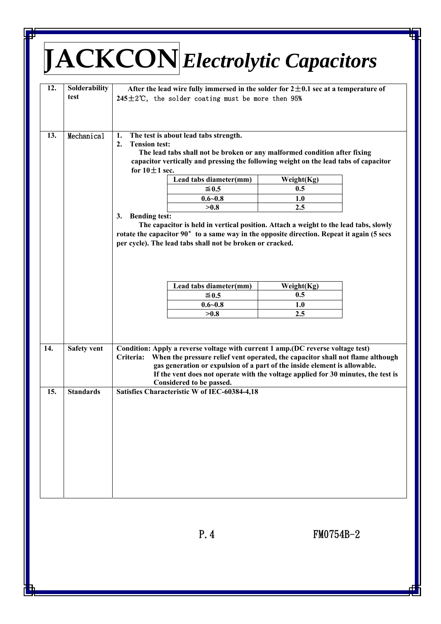| 12.        | Solderability      | <b>JACKCONElectrolytic Capacitors</b><br>After the lead wire fully immersed in the solder for $2\pm0.1$ sec at a temperature of                                                                                                                                       |                                                                                                                                                                     |
|------------|--------------------|-----------------------------------------------------------------------------------------------------------------------------------------------------------------------------------------------------------------------------------------------------------------------|---------------------------------------------------------------------------------------------------------------------------------------------------------------------|
|            | test               | 245 $±2$ °C, the solder coating must be more then 95%                                                                                                                                                                                                                 |                                                                                                                                                                     |
| 13.        | Mechanical         | The test is about lead tabs strength.<br>1.<br>2.<br><b>Tension test:</b><br>The lead tabs shall not be broken or any malformed condition after fixing<br>capacitor vertically and pressing the following weight on the lead tabs of capacitor<br>for $10 \pm 1$ sec. |                                                                                                                                                                     |
|            |                    | Lead tabs diameter(mm)                                                                                                                                                                                                                                                | Weight(Kg)                                                                                                                                                          |
|            |                    | $\leq$ 0.5                                                                                                                                                                                                                                                            | 0.5                                                                                                                                                                 |
|            |                    | $0.6 - 0.8$                                                                                                                                                                                                                                                           | 1.0                                                                                                                                                                 |
|            |                    | >0.8                                                                                                                                                                                                                                                                  | 2.5                                                                                                                                                                 |
|            |                    | Lead tabs diameter(mm)                                                                                                                                                                                                                                                | Weight(Kg)                                                                                                                                                          |
|            |                    | ≤ 0.5                                                                                                                                                                                                                                                                 | 0.5                                                                                                                                                                 |
|            |                    | $0.6 - 0.8$                                                                                                                                                                                                                                                           | 1.0                                                                                                                                                                 |
|            |                    | >0.8                                                                                                                                                                                                                                                                  | 2.5                                                                                                                                                                 |
|            | <b>Safety vent</b> | Condition: Apply a reverse voltage with current 1 amp. (DC reverse voltage test)<br>Criteria:<br>gas generation or expulsion of a part of the inside element is allowable.                                                                                            | When the pressure relief vent operated, the capacitor shall not flame although<br>If the vent does not operate with the voltage applied for 30 minutes, the test is |
| 14.<br>15. | <b>Standards</b>   | Considered to be passed.<br>Satisfies Characteristic W of IEC-60384-4,18                                                                                                                                                                                              |                                                                                                                                                                     |

P. 4 FM0754B-2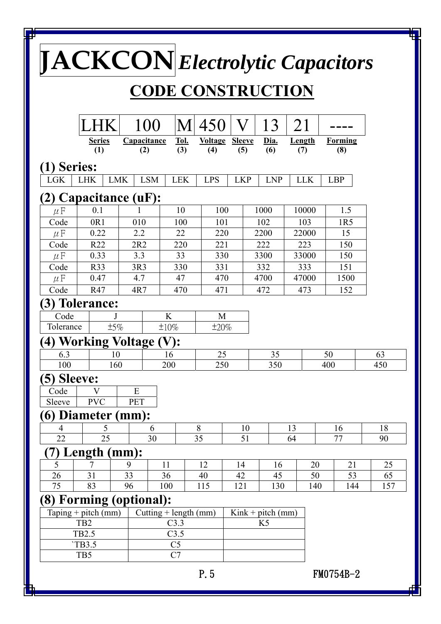|                 | $\textbf{[IACKCON]}$ Electrolytic Capacitors |            |                         |                    |                          |                       |                |                     |                      |     |                       |           |
|-----------------|----------------------------------------------|------------|-------------------------|--------------------|--------------------------|-----------------------|----------------|---------------------|----------------------|-----|-----------------------|-----------|
|                 |                                              |            |                         |                    | <b>CODE CONSTRUCTION</b> |                       |                |                     |                      |     |                       |           |
|                 |                                              |            | 100                     | M                  | 450                      | V                     |                | 13                  | 21                   |     |                       |           |
|                 | <b>Series</b><br>(1)                         |            | Capacitance<br>(2)      | <u>Tol.</u><br>(3) | <b>Voltage</b><br>(4)    | <b>Sleeve</b><br>(5)  | Dia.<br>(6)    |                     | <b>Length</b><br>(7) |     | <b>Forming</b><br>(8) |           |
| (1) Series:     |                                              |            |                         |                    |                          |                       |                |                     |                      |     |                       |           |
| <b>LGK</b>      | <b>LHK</b>                                   | <b>LMK</b> | <b>LSM</b>              | <b>LEK</b>         | <b>LPS</b>               | <b>LKP</b>            |                | <b>LNP</b>          | <b>LLK</b>           |     | <b>LBP</b>            |           |
|                 | Capacitance (uF):                            |            |                         |                    |                          |                       |                |                     |                      |     |                       |           |
| $\mu$ F         | 0.1                                          |            |                         | 10                 | 100                      |                       | 1000           |                     | 10000                |     | 1.5                   |           |
| Code            | 0R1                                          | 010        |                         | 100                | 101                      |                       | 102            |                     | 103                  |     | 1R <sub>5</sub>       |           |
| $\mu$ F         | 0.22                                         | 2.2        |                         | 22                 | 220                      |                       | 2200           |                     | 22000                |     | 15                    |           |
| Code            | R22                                          | 2R2        |                         | 220                | 221                      |                       | 222            |                     | 223                  |     | 150                   |           |
| $\mu$ F         | 0.33                                         | 3.3        |                         | 33                 | 330                      |                       | 3300           |                     | 33000                |     | 150                   |           |
| Code<br>$\mu$ F | R33<br>0.47                                  | 3R3<br>4.7 |                         | 330<br>47          | 331<br>470               |                       | 332<br>4700    |                     | 333<br>47000         |     | 151<br>1500           |           |
| Code            | R47                                          | 4R7        |                         | 470                | 471                      |                       | 472            |                     | 473                  |     | 152                   |           |
| 3)              | <b>Tolerance:</b>                            |            |                         |                    |                          |                       |                |                     |                      |     |                       |           |
| Code            |                                              |            | K                       |                    | M                        |                       |                |                     |                      |     |                       |           |
| Tolerance       |                                              | ±5%        | ±10%                    |                    | ±20%                     |                       |                |                     |                      |     |                       |           |
| 4)              | <b>Working Voltage (V):</b>                  |            |                         |                    |                          |                       |                |                     |                      |     |                       |           |
| 6.3             |                                              | 10         | 16                      |                    | 25                       |                       |                | 35                  |                      | 50  |                       | 63        |
| 100             |                                              | 160        | 200                     |                    | 250                      |                       |                | 350                 |                      | 400 |                       | 450       |
| 5) Sleeve:      |                                              |            |                         |                    |                          |                       |                |                     |                      |     |                       |           |
| Code            | $\overline{\mathsf{V}}$                      | E          |                         |                    |                          |                       |                |                     |                      |     |                       |           |
| Sleeve          | <b>PVC</b>                                   | <b>PET</b> |                         |                    |                          |                       |                |                     |                      |     |                       |           |
|                 | 6) Diameter (mm):                            |            |                         |                    |                          |                       |                |                     |                      |     |                       |           |
| 4               | 5                                            |            | 6                       |                    | 8                        | 10                    |                | 13                  |                      |     | 16                    | 18        |
| 22              | 25                                           |            | 30                      |                    | 35                       | 51                    |                | 64                  |                      |     | 77                    | 90        |
|                 | Length (mm):                                 |            |                         |                    |                          |                       |                |                     |                      |     |                       |           |
| 5               |                                              | 9<br>33    | 11                      |                    | 12                       | 14                    |                | 16                  | 20                   |     | 21                    | 25        |
| 26<br>75        | 31<br>83                                     | 96         | 36<br>100               |                    | 115                      | 42<br>45<br>40<br>121 |                | 130                 | 50<br>140            |     | 53<br>144             | 65<br>157 |
|                 | (8) Forming (optional):                      |            |                         |                    |                          |                       |                |                     |                      |     |                       |           |
|                 | Taping + pitch (mm)                          |            | Cutting $+$ length (mm) |                    |                          |                       |                | $Kink + pitch (mm)$ |                      |     |                       |           |
|                 | TB <sub>2</sub>                              |            |                         | C3.3               |                          |                       | K <sub>5</sub> |                     |                      |     |                       |           |
|                 | <b>TB2.5</b>                                 |            |                         | C3.5               |                          |                       |                |                     |                      |     |                       |           |
|                 | `TB3.5                                       |            |                         | C <sub>5</sub>     |                          |                       |                |                     |                      |     |                       |           |
|                 | TB5                                          |            |                         | C <sub>7</sub>     |                          |                       |                |                     |                      |     |                       |           |
|                 |                                              |            |                         |                    | P. 5                     |                       |                |                     |                      |     | FM0754B-2             |           |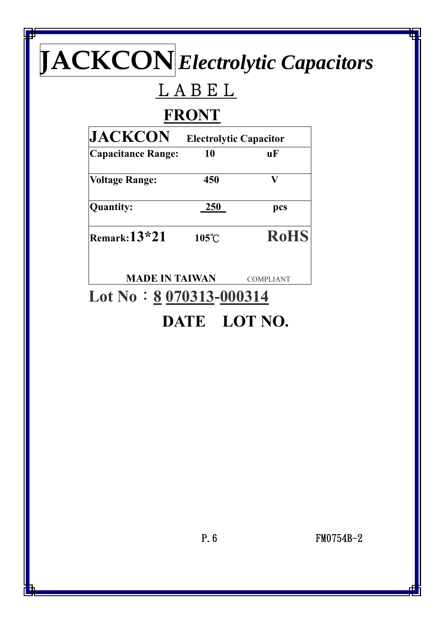# LABEL

## **FRONT**

| <b>JACKCON</b>            | <b>Electrolytic Capacitor</b> |                  |  |  |  |  |  |
|---------------------------|-------------------------------|------------------|--|--|--|--|--|
| <b>Capacitance Range:</b> | 10                            | uF               |  |  |  |  |  |
| <b>Voltage Range:</b>     | 450                           | V                |  |  |  |  |  |
| <b>Quantity:</b>          | 250                           | pcs              |  |  |  |  |  |
| Remark: $13*21$           | $105^{\circ}$ C               | <b>RoHS</b>      |  |  |  |  |  |
| <b>MADE IN TAIWAN</b>     |                               | <b>COMPLIANT</b> |  |  |  |  |  |

## Lot No : 8 070313-000314 **DATE LOT NO.**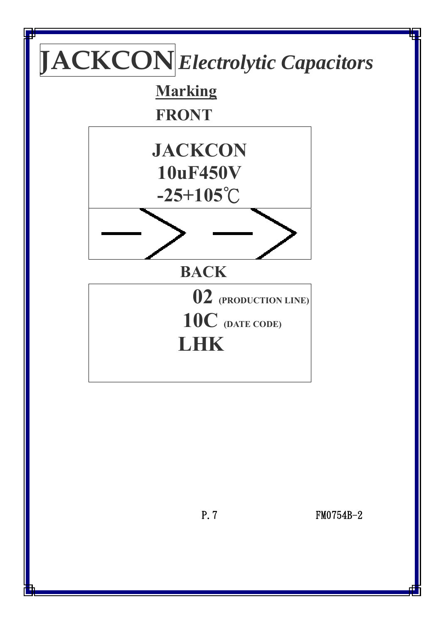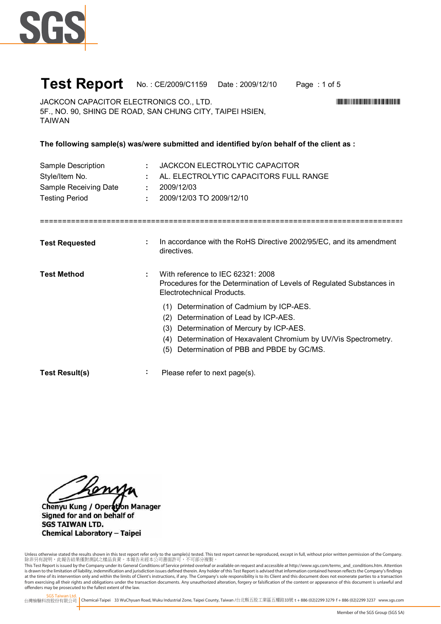

#### **Test Report** No. : CE/2009/C1159 Date : 2009/12/10 Page : 1 of 5

JACKCON CAPACITOR ELECTRONICS CO., LTD. 5F., NO. 90, SHING DE ROAD, SAN CHUNG CITY, TAIPEI HSIEN, TAIWAN

**The following sample(s) was/were submitted and identified by/on behalf of the client as :**

| Sample Description<br>Style/Item No.<br>Sample Receiving Date<br><b>Testing Period</b> | JACKCON ELECTROLYTIC CAPACITOR<br>÷.<br>AL. ELECTROLYTIC CAPACITORS FULL RANGE<br>2009/12/03<br>÷.<br>2009/12/03 TO 2009/12/10<br>÷.                                                                                                                         |
|----------------------------------------------------------------------------------------|--------------------------------------------------------------------------------------------------------------------------------------------------------------------------------------------------------------------------------------------------------------|
| <b>Test Requested</b>                                                                  | In accordance with the RoHS Directive 2002/95/EC, and its amendment<br>directives.                                                                                                                                                                           |
| <b>Test Method</b>                                                                     | With reference to IEC 62321: 2008<br>Procedures for the Determination of Levels of Regulated Substances in<br>Electrotechnical Products.                                                                                                                     |
|                                                                                        | Determination of Cadmium by ICP-AES.<br>(1)<br>Determination of Lead by ICP-AES.<br>(2)<br>(3) Determination of Mercury by ICP-AES.<br>Determination of Hexavalent Chromium by UV/Vis Spectrometry.<br>(4)<br>Determination of PBB and PBDE by GC/MS.<br>(5) |
| <b>Test Result(s)</b>                                                                  | ÷<br>Please refer to next page(s).                                                                                                                                                                                                                           |

my

Chenyu Kung / Operation Manager Signed for and on behalf of **SGS TAIWAN LTD. Chemical Laboratory - Taipei** 

Unless otherwise stated the results shown in this test report refer only to the sample(s) tested. This test report cannot be reproduced, except in full, without prior written permission of the Company.<br>除非另有說明,此報告結果僅對測試之樣品

This Test Report is issued by the Company under its General Conditions of Service printed overleaf or available on request and accessible at http://www.sgs.com/terms\_and\_conditions.htm. Attention is drawn to the limitation of liability, indemnification and jurisdiction issues defined therein. Any holder of this Test Report is advised that information contained hereon reflects the Company's findings<br>at the time of i from exercising all their rights and obligations under the transaction documents. Any unauthorized alteration, forgery or falsification of the content or appearance of this document is unlawful and offenders may be prosecuted to the fullest extent of the law.

SGS Taiwan Ltd.

台灣檢驗科技股份有限公司 Chemical-Taipei 33 WuChyuan Road, Wuku Industrial Zone, Taipei County, Taiwan /台北縣五股工業區五權路33號 **t** +886 (02)2299 3279 **f** + 886 (02)2299 3237 www.sgs.com

\*CE/2009/C1159\*CE/2009/C1159\*CE/2009/C1159\*CE/2009/CE/2009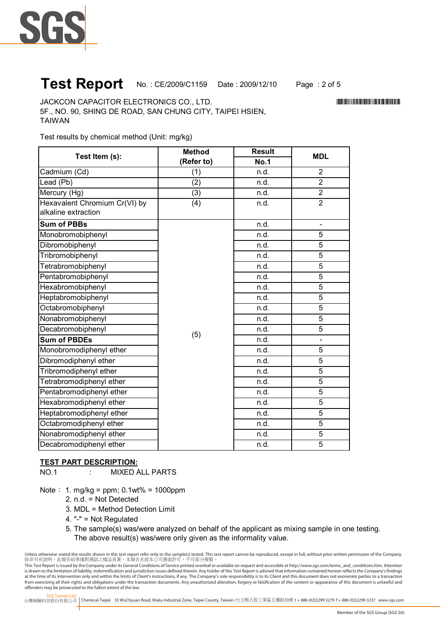

## **Test Report** No. : CE/2009/C1159 Date : 2009/12/10 Page : 2 of 5

JACKCON CAPACITOR ELECTRONICS CO., LTD. \*CE/2009/C1159\* 5F., NO. 90, SHING DE ROAD, SAN CHUNG CITY, TAIPEI HSIEN, TAIWAN

Test results by chemical method (Unit: mg/kg)

| Test Item (s):                | <b>Method</b> | <b>Result</b> | <b>MDL</b>     |
|-------------------------------|---------------|---------------|----------------|
|                               | (Refer to)    | <b>No.1</b>   |                |
| Cadmium (Cd)                  | (1)           | n.d.          | $\overline{2}$ |
| Lead (Pb)                     | (2)           | n.d.          | $\overline{2}$ |
| Mercury (Hg)                  | (3)           | n.d.          | $\overline{2}$ |
| Hexavalent Chromium Cr(VI) by | (4)           | n.d.          | $\overline{2}$ |
| alkaline extraction           |               |               |                |
| <b>Sum of PBBs</b>            | (5)           | n.d.          | $\blacksquare$ |
| Monobromobiphenyl             |               | n.d.          | 5              |
| Dibromobiphenyl               |               | n.d.          | 5              |
| Tribromobiphenyl              |               | n.d.          | 5              |
| Tetrabromobiphenyl            |               | n.d.          | 5              |
| Pentabromobiphenyl            |               | n.d.          | 5              |
| Hexabromobiphenyl             |               | n.d.          | 5              |
| Heptabromobiphenyl            |               | n.d.          | 5              |
| Octabromobiphenyl             |               | n.d.          | 5              |
| Nonabromobiphenyl             |               | n.d.          | 5              |
| Decabromobiphenyl             |               | n.d.          | 5              |
| <b>Sum of PBDEs</b>           |               | n.d.          |                |
| Monobromodiphenyl ether       |               | n.d.          | $\overline{5}$ |
| Dibromodiphenyl ether         |               | n.d.          | 5              |
| Tribromodiphenyl ether        |               | n.d.          | 5              |
| Tetrabromodiphenyl ether      |               | n.d.          | 5              |
| Pentabromodiphenyl ether      |               | n.d.          | 5              |
| Hexabromodiphenyl ether       |               | n.d.          | $\overline{5}$ |
| Heptabromodiphenyl ether      |               | n.d.          | 5              |
| Octabromodiphenyl ether       |               | n.d.          | $\overline{5}$ |
| Nonabromodiphenyl ether       |               | n.d.          | 5              |
| Decabromodiphenyl ether       |               | n.d.          | $\overline{5}$ |

#### **TEST PART DESCRIPTION:**

NO.1 : MIXED ALL PARTS

Note:  $1. \text{mg/kg} = \text{ppm}$ ;  $0.1 \text{wt}$ % =  $1000 \text{ppm}$ 

- 2. n.d. = Not Detected
- 3. MDL = Method Detection Limit
- 4. "-" = Not Regulated
- 5. The sample(s) was/were analyzed on behalf of the applicant as mixing sample in one testing. The above result(s) was/were only given as the informality value.

Unless otherwise stated the results shown in this test report refer only to the sample(s) tested. This test report cannot be reproduced, except in full, without prior written permission of the Company.<br>除非另有說明,此報告結果僅對測試之樣品

This Test Report is issued by the Company under its General Conditions of Service printed overleaf or available on request and accessible at http://www.sgs.com/terms\_and\_conditions.htm. Attention is drawn to the limitation of liability, indemnification and jurisdiction issues defined therein. Any holder of this Test Report is advised that information contained hereon reflects the Company's findings<br>at the time of i from exercising all their rights and obligations under the transaction documents. Any unauthorized alteration, forgery or falsification of the content or appearance of this document is unlawful and offenders may be prosecuted to the fullest extent of the law.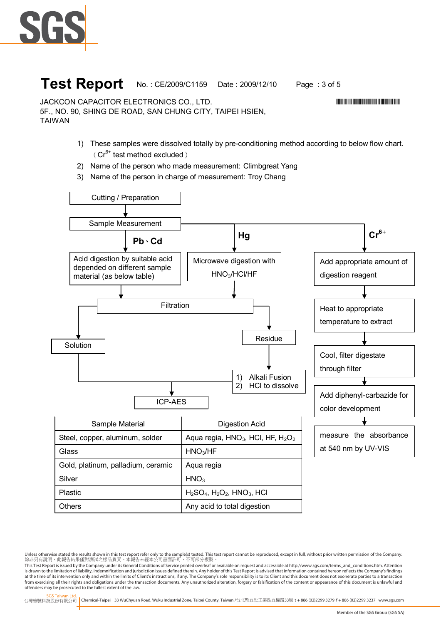

### **Test Report** No.: CE/2009/C1159 Date: 2009/12/10 Page: 3 of 5

\*CE/2009/C1159\*CE/2009/C1159\*CE/2009/C1159\*CE/2009/CE/2009

JACKCON CAPACITOR ELECTRONICS CO., LTD. 5F., NO. 90, SHING DE ROAD, SAN CHUNG CITY, TAIPEI HSIEN, TAIWAN

- 1) These samples were dissolved totally by pre-conditioning method according to below flow chart.  $(Cr^{6+}$  test method excluded)
- 2) Name of the person who made measurement: Climbgreat Yang
- 3) Name of the person in charge of measurement: Troy Chang



SGS Taiwan Ltd. 台灣檢驗科技股份有限公司 Chemical-Taipei 33 WuChyuan Road, Wuku Industrial Zone, Taipei County, Taiwan /台北縣五股工業區五權路33號 **t** +886 (02)2299 3279 **f** + 886 (02)2299 3237 www.sgs.com

Unless otherwise stated the results shown in this test report refer only to the sample(s) tested. This test report cannot be reproduced, except in full, without prior written permission of the Company.<br>除非另有說明,此報告結果僅對測試之樣品

This Test Report is issued by the Company under its General Conditions of Service printed overleaf or available on request and accessible at http://www.sgs.com/terms\_and\_conditions.htm. Attention is drawn to the limitation of liability, indemnification and jurisdiction issues defined therein. Any holder of this Test Report is advised that information contained hereon reflects the Company's findings at the time of its intervention only and within the limits of Client's instructions, if any. The Company's sole responsibility is to its Client and this document does not exonerate parties to a transaction from exercising all their rights and obligations under the transaction documents. Any unauthorized alteration, forgery or falsification of the content or appearance of this document is unlawful and offenders may be prosecuted to the fullest extent of the law.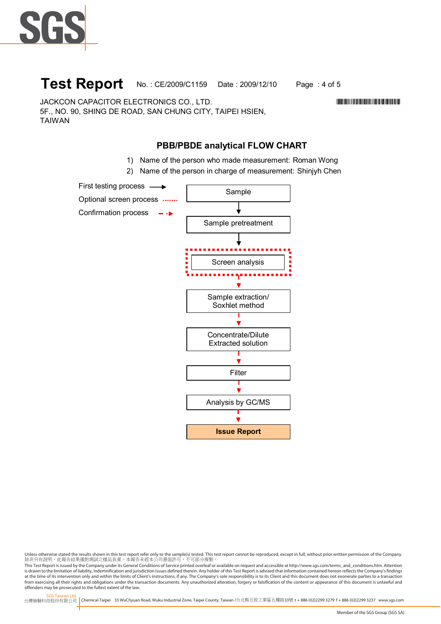

## **Test Report** No.: CE/2009/C1159 Date: 2009/12/10 Page: 4 of 5

JACKCON CAPACITOR ELECTRONICS CO., LTD. \*CE/2009/C1159\* 5F., NO. 90, SHING DE ROAD, SAN CHUNG CITY, TAIPEI HSIEN, TAIWAN

### **PBB/PBDE analytical FLOW CHART**

- 1) Name of the person who made measurement: Roman Wong
- 2) Name of the person in charge of measurement: Shinjyh Chen



Unless otherwise stated the results shown in this test report refer only to the sample(s) tested. This test report cannot be reproduced, except in full, without prior written permission of the Company.<br>除非另有說明,此報告結果僅對測試之樣品

This Test Report is issued by the Company under its General Conditions of Service printed overleaf or available on request and accessible at http://www.sgs.com/terms\_and\_conditions.htm. Attention is drawn to the limitation of liability, indemnification and jurisdiction issues defined therein. Any holder of this Test Report is advised that information contained hereon reflects the Company's findings<br>at the time of i from exercising all their rights and obligations under the transaction documents. Any unauthorized alteration, forgery or falsification of the content or appearance of this document is unlawful and offenders may be prosecuted to the fullest extent of the law.

SGS Taiwan Ltd. 台灣檢驗科技股份有限公司 Chemical-Taipei 33 WuChyuan Road, Wuku Industrial Zone, Taipei County, Taiwan /台北縣五股工業區五權路33號 **t** +886 (02)2299 3279 **f** + 886 (02)2299 3237 www.sgs.com